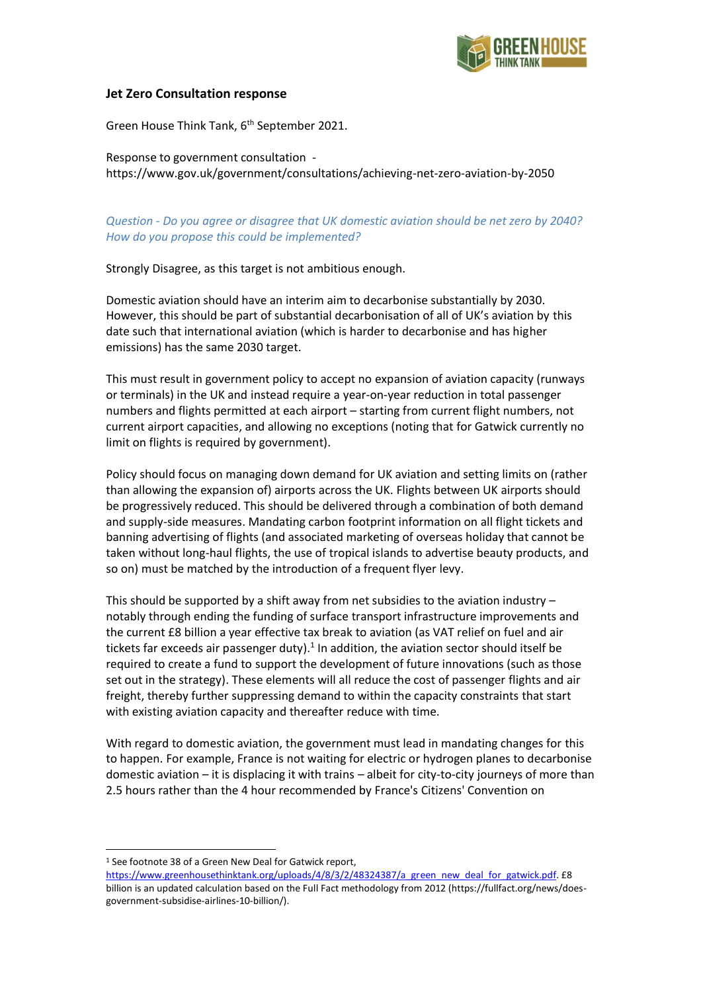

### **Jet Zero Consultation response**

Green House Think Tank, 6<sup>th</sup> September 2021.

Response to government consultation https://www.gov.uk/government/consultations/achieving-net-zero-aviation-by-2050

*Question - Do you agree or disagree that UK domestic aviation should be net zero by 2040? How do you propose this could be implemented?*

Strongly Disagree, as this target is not ambitious enough.

Domestic aviation should have an interim aim to decarbonise substantially by 2030. However, this should be part of substantial decarbonisation of all of UK's aviation by this date such that international aviation (which is harder to decarbonise and has higher emissions) has the same 2030 target.

This must result in government policy to accept no expansion of aviation capacity (runways or terminals) in the UK and instead require a year-on-year reduction in total passenger numbers and flights permitted at each airport – starting from current flight numbers, not current airport capacities, and allowing no exceptions (noting that for Gatwick currently no limit on flights is required by government).

Policy should focus on managing down demand for UK aviation and setting limits on (rather than allowing the expansion of) airports across the UK. Flights between UK airports should be progressively reduced. This should be delivered through a combination of both demand and supply-side measures. Mandating carbon footprint information on all flight tickets and banning advertising of flights (and associated marketing of overseas holiday that cannot be taken without long-haul flights, the use of tropical islands to advertise beauty products, and so on) must be matched by the introduction of a frequent flyer levy.

This should be supported by a shift away from net subsidies to the aviation industry  $$ notably through ending the funding of surface transport infrastructure improvements and the current £8 billion a year effective tax break to aviation (as VAT relief on fuel and air tickets far exceeds air passenger duty).<sup>1</sup> In addition, the aviation sector should itself be required to create a fund to support the development of future innovations (such as those set out in the strategy). These elements will all reduce the cost of passenger flights and air freight, thereby further suppressing demand to within the capacity constraints that start with existing aviation capacity and thereafter reduce with time.

With regard to domestic aviation, the government must lead in mandating changes for this to happen. For example, France is not waiting for electric or hydrogen planes to decarbonise domestic aviation – it is displacing it with trains – albeit for city-to-city journeys of more than 2.5 hours rather than the 4 hour recommended by France's Citizens' Convention on

<sup>&</sup>lt;sup>1</sup> See footnote 38 of a Green New Deal for Gatwick report,

[https://www.greenhousethinktank.org/uploads/4/8/3/2/48324387/a\\_green\\_new\\_deal\\_for\\_gatwick.pdf.](https://www.greenhousethinktank.org/uploads/4/8/3/2/48324387/a_green_new_deal_for_gatwick.pdf) £8 billion is an updated calculation based on the Full Fact methodology from 2012 (https://fullfact.org/news/doesgovernment-subsidise-airlines-10-billion/).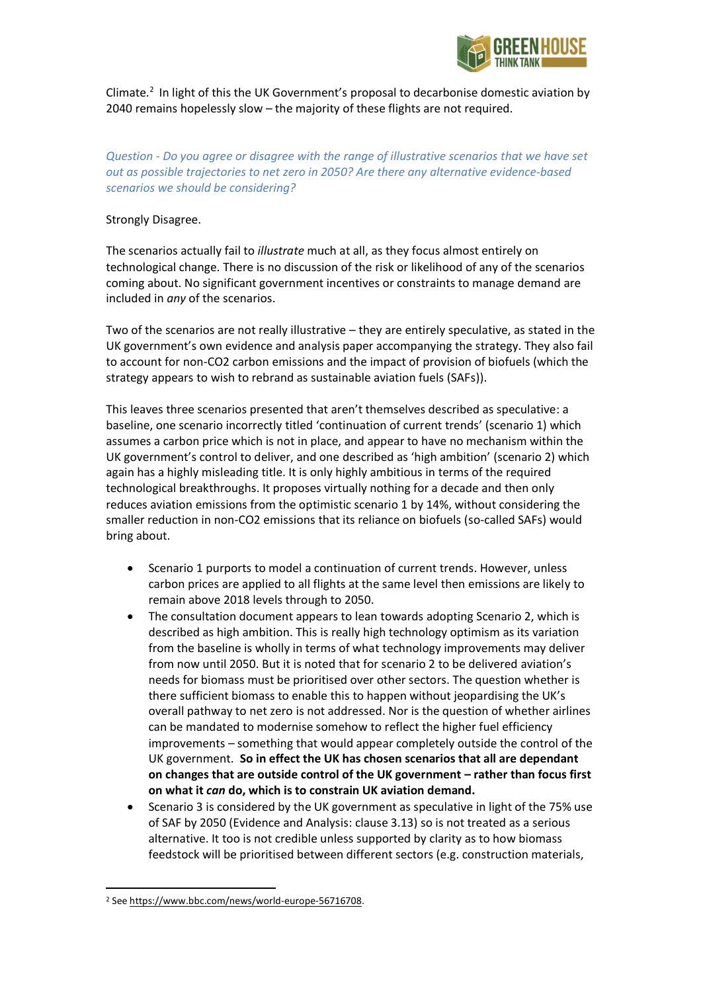

Climate.<sup>2</sup> In light of this the UK Government's proposal to decarbonise domestic aviation by 2040 remains hopelessly slow – the majority of these flights are not required.

*Question - Do you agree or disagree with the range of illustrative scenarios that we have set out as possible trajectories to net zero in 2050? Are there any alternative evidence-based scenarios we should be considering?*

#### Strongly Disagree.

The scenarios actually fail to *illustrate* much at all, as they focus almost entirely on technological change. There is no discussion of the risk or likelihood of any of the scenarios coming about. No significant government incentives or constraints to manage demand are included in *any* of the scenarios.

Two of the scenarios are not really illustrative – they are entirely speculative, as stated in the UK government's own evidence and analysis paper accompanying the strategy. They also fail to account for non-CO2 carbon emissions and the impact of provision of biofuels (which the strategy appears to wish to rebrand as sustainable aviation fuels (SAFs)).

This leaves three scenarios presented that aren't themselves described as speculative: a baseline, one scenario incorrectly titled 'continuation of current trends' (scenario 1) which assumes a carbon price which is not in place, and appear to have no mechanism within the UK government's control to deliver, and one described as 'high ambition' (scenario 2) which again has a highly misleading title. It is only highly ambitious in terms of the required technological breakthroughs. It proposes virtually nothing for a decade and then only reduces aviation emissions from the optimistic scenario 1 by 14%, without considering the smaller reduction in non-CO2 emissions that its reliance on biofuels (so-called SAFs) would bring about.

- Scenario 1 purports to model a continuation of current trends. However, unless carbon prices are applied to all flights at the same level then emissions are likely to remain above 2018 levels through to 2050.
- The consultation document appears to lean towards adopting Scenario 2, which is described as high ambition. This is really high technology optimism as its variation from the baseline is wholly in terms of what technology improvements may deliver from now until 2050. But it is noted that for scenario 2 to be delivered aviation's needs for biomass must be prioritised over other sectors. The question whether is there sufficient biomass to enable this to happen without jeopardising the UK's overall pathway to net zero is not addressed. Nor is the question of whether airlines can be mandated to modernise somehow to reflect the higher fuel efficiency improvements – something that would appear completely outside the control of the UK government. **So in effect the UK has chosen scenarios that all are dependant on changes that are outside control of the UK government – rather than focus first on what it** *can* **do, which is to constrain UK aviation demand.**
- Scenario 3 is considered by the UK government as speculative in light of the 75% use of SAF by 2050 (Evidence and Analysis: clause 3.13) so is not treated as a serious alternative. It too is not credible unless supported by clarity as to how biomass feedstock will be prioritised between different sectors (e.g. construction materials,

<sup>2</sup> Se[e https://www.bbc.com/news/world-europe-56716708.](https://www.bbc.com/news/world-europe-56716708)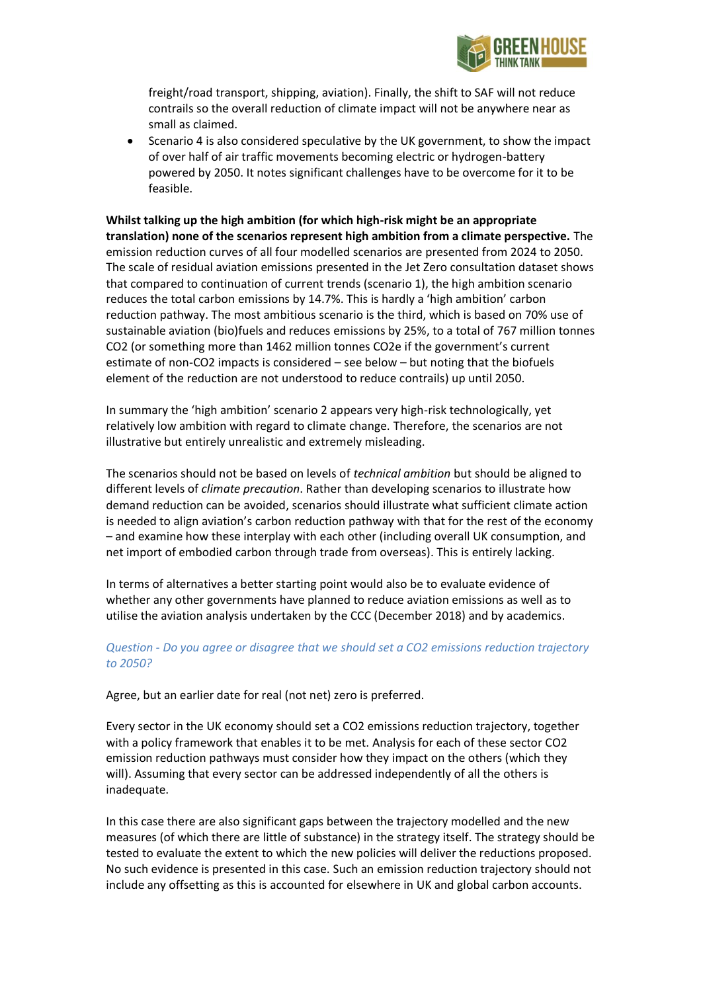

freight/road transport, shipping, aviation). Finally, the shift to SAF will not reduce contrails so the overall reduction of climate impact will not be anywhere near as small as claimed.

• Scenario 4 is also considered speculative by the UK government, to show the impact of over half of air traffic movements becoming electric or hydrogen-battery powered by 2050. It notes significant challenges have to be overcome for it to be feasible.

**Whilst talking up the high ambition (for which high-risk might be an appropriate translation) none of the scenarios represent high ambition from a climate perspective.** The emission reduction curves of all four modelled scenarios are presented from 2024 to 2050. The scale of residual aviation emissions presented in the Jet Zero consultation dataset shows that compared to continuation of current trends (scenario 1), the high ambition scenario reduces the total carbon emissions by 14.7%. This is hardly a 'high ambition' carbon reduction pathway. The most ambitious scenario is the third, which is based on 70% use of sustainable aviation (bio)fuels and reduces emissions by 25%, to a total of 767 million tonnes CO2 (or something more than 1462 million tonnes CO2e if the government's current estimate of non-CO2 impacts is considered – see below – but noting that the biofuels element of the reduction are not understood to reduce contrails) up until 2050.

In summary the 'high ambition' scenario 2 appears very high-risk technologically, yet relatively low ambition with regard to climate change. Therefore, the scenarios are not illustrative but entirely unrealistic and extremely misleading.

The scenarios should not be based on levels of *technical ambition* but should be aligned to different levels of *climate precaution*. Rather than developing scenarios to illustrate how demand reduction can be avoided, scenarios should illustrate what sufficient climate action is needed to align aviation's carbon reduction pathway with that for the rest of the economy – and examine how these interplay with each other (including overall UK consumption, and net import of embodied carbon through trade from overseas). This is entirely lacking.

In terms of alternatives a better starting point would also be to evaluate evidence of whether any other governments have planned to reduce aviation emissions as well as to utilise the aviation analysis undertaken by the CCC (December 2018) and by academics.

# *Question - Do you agree or disagree that we should set a CO2 emissions reduction trajectory to 2050?*

Agree, but an earlier date for real (not net) zero is preferred.

Every sector in the UK economy should set a CO2 emissions reduction trajectory, together with a policy framework that enables it to be met. Analysis for each of these sector CO2 emission reduction pathways must consider how they impact on the others (which they will). Assuming that every sector can be addressed independently of all the others is inadequate.

In this case there are also significant gaps between the trajectory modelled and the new measures (of which there are little of substance) in the strategy itself. The strategy should be tested to evaluate the extent to which the new policies will deliver the reductions proposed. No such evidence is presented in this case. Such an emission reduction trajectory should not include any offsetting as this is accounted for elsewhere in UK and global carbon accounts.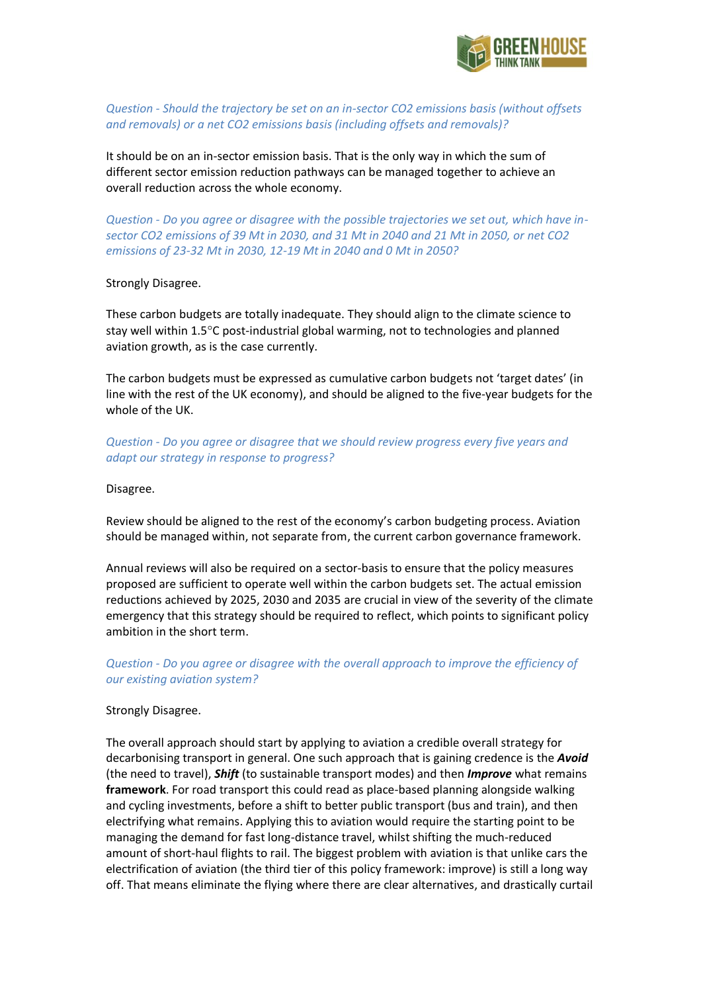

*Question - Should the trajectory be set on an in-sector CO2 emissions basis (without offsets and removals) or a net CO2 emissions basis (including offsets and removals)?*

It should be on an in-sector emission basis. That is the only way in which the sum of different sector emission reduction pathways can be managed together to achieve an overall reduction across the whole economy.

*Question - Do you agree or disagree with the possible trajectories we set out, which have insector CO2 emissions of 39 Mt in 2030, and 31 Mt in 2040 and 21 Mt in 2050, or net CO2 emissions of 23-32 Mt in 2030, 12-19 Mt in 2040 and 0 Mt in 2050?*

#### Strongly Disagree.

These carbon budgets are totally inadequate. They should align to the climate science to stay well within  $1.5^{\circ}$ C post-industrial global warming, not to technologies and planned aviation growth, as is the case currently.

The carbon budgets must be expressed as cumulative carbon budgets not 'target dates' (in line with the rest of the UK economy), and should be aligned to the five-year budgets for the whole of the UK.

*Question - Do you agree or disagree that we should review progress every five years and adapt our strategy in response to progress?*

#### Disagree.

Review should be aligned to the rest of the economy's carbon budgeting process. Aviation should be managed within, not separate from, the current carbon governance framework.

Annual reviews will also be required on a sector-basis to ensure that the policy measures proposed are sufficient to operate well within the carbon budgets set. The actual emission reductions achieved by 2025, 2030 and 2035 are crucial in view of the severity of the climate emergency that this strategy should be required to reflect, which points to significant policy ambition in the short term.

*Question - Do you agree or disagree with the overall approach to improve the efficiency of our existing aviation system?*

#### Strongly Disagree.

The overall approach should start by applying to aviation a credible overall strategy for decarbonising transport in general. One such approach that is gaining credence is the *Avoid* (the need to travel), *Shift* (to sustainable transport modes) and then *Improve* what remains **framework**. For road transport this could read as place-based planning alongside walking and cycling investments, before a shift to better public transport (bus and train), and then electrifying what remains. Applying this to aviation would require the starting point to be managing the demand for fast long-distance travel, whilst shifting the much-reduced amount of short-haul flights to rail. The biggest problem with aviation is that unlike cars the electrification of aviation (the third tier of this policy framework: improve) is still a long way off. That means eliminate the flying where there are clear alternatives, and drastically curtail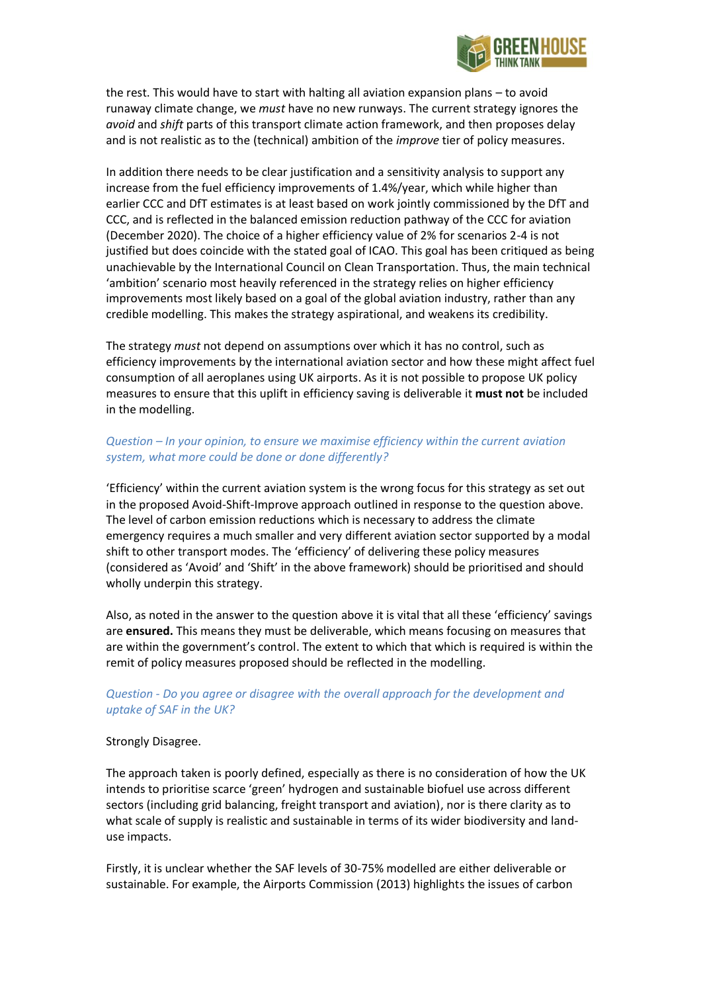

the rest. This would have to start with halting all aviation expansion plans – to avoid runaway climate change, we *must* have no new runways. The current strategy ignores the *avoid* and *shift* parts of this transport climate action framework, and then proposes delay and is not realistic as to the (technical) ambition of the *improve* tier of policy measures.

In addition there needs to be clear justification and a sensitivity analysis to support any increase from the fuel efficiency improvements of 1.4%/year, which while higher than earlier CCC and DfT estimates is at least based on work jointly commissioned by the DfT and CCC, and is reflected in the balanced emission reduction pathway of the CCC for aviation (December 2020). The choice of a higher efficiency value of 2% for scenarios 2-4 is not justified but does coincide with the stated goal of ICAO. This goal has been critiqued as being unachievable by the International Council on Clean Transportation. Thus, the main technical 'ambition' scenario most heavily referenced in the strategy relies on higher efficiency improvements most likely based on a goal of the global aviation industry, rather than any credible modelling. This makes the strategy aspirational, and weakens its credibility.

The strategy *must* not depend on assumptions over which it has no control, such as efficiency improvements by the international aviation sector and how these might affect fuel consumption of all aeroplanes using UK airports. As it is not possible to propose UK policy measures to ensure that this uplift in efficiency saving is deliverable it **must not** be included in the modelling.

## *Question – In your opinion, to ensure we maximise efficiency within the current aviation system, what more could be done or done differently?*

'Efficiency' within the current aviation system is the wrong focus for this strategy as set out in the proposed Avoid-Shift-Improve approach outlined in response to the question above. The level of carbon emission reductions which is necessary to address the climate emergency requires a much smaller and very different aviation sector supported by a modal shift to other transport modes. The 'efficiency' of delivering these policy measures (considered as 'Avoid' and 'Shift' in the above framework) should be prioritised and should wholly underpin this strategy.

Also, as noted in the answer to the question above it is vital that all these 'efficiency' savings are **ensured.** This means they must be deliverable, which means focusing on measures that are within the government's control. The extent to which that which is required is within the remit of policy measures proposed should be reflected in the modelling.

### *Question - Do you agree or disagree with the overall approach for the development and uptake of SAF in the UK?*

#### Strongly Disagree.

The approach taken is poorly defined, especially as there is no consideration of how the UK intends to prioritise scarce 'green' hydrogen and sustainable biofuel use across different sectors (including grid balancing, freight transport and aviation), nor is there clarity as to what scale of supply is realistic and sustainable in terms of its wider biodiversity and landuse impacts.

Firstly, it is unclear whether the SAF levels of 30-75% modelled are either deliverable or sustainable. For example, the Airports Commission (2013) highlights the issues of carbon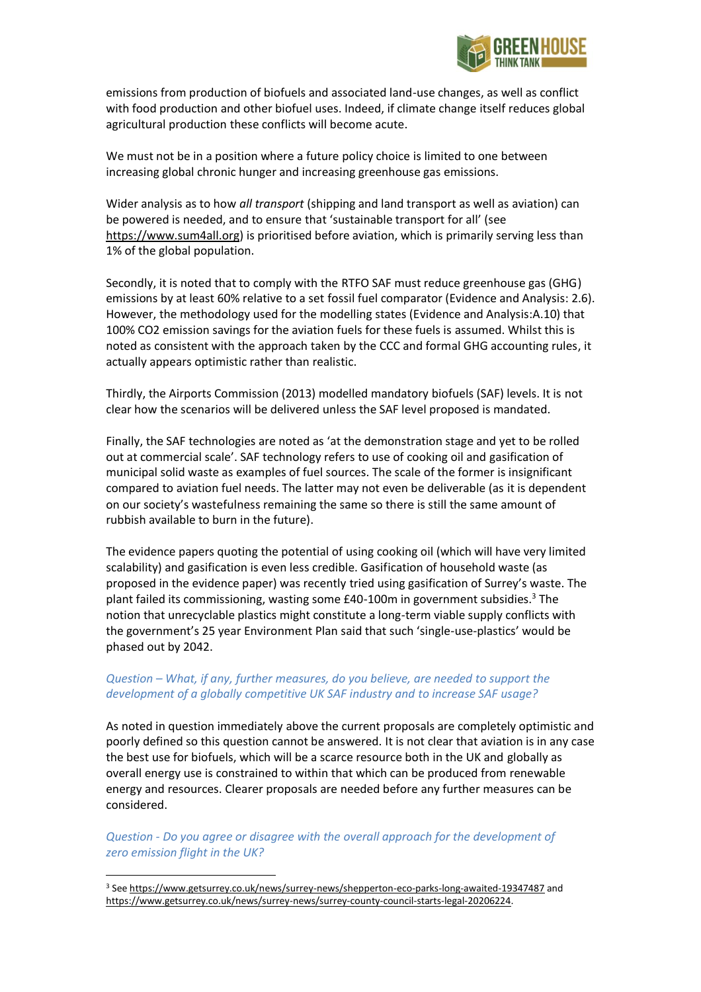

emissions from production of biofuels and associated land-use changes, as well as conflict with food production and other biofuel uses. Indeed, if climate change itself reduces global agricultural production these conflicts will become acute.

We must not be in a position where a future policy choice is limited to one between increasing global chronic hunger and increasing greenhouse gas emissions.

Wider analysis as to how *all transport* (shipping and land transport as well as aviation) can be powered is needed, and to ensure that 'sustainable transport for all' (see [https://www.sum4all.org\)](https://www.sum4all.org/) is prioritised before aviation, which is primarily serving less than 1% of the global population.

Secondly, it is noted that to comply with the RTFO SAF must reduce greenhouse gas (GHG) emissions by at least 60% relative to a set fossil fuel comparator (Evidence and Analysis: 2.6). However, the methodology used for the modelling states (Evidence and Analysis:A.10) that 100% CO2 emission savings for the aviation fuels for these fuels is assumed. Whilst this is noted as consistent with the approach taken by the CCC and formal GHG accounting rules, it actually appears optimistic rather than realistic.

Thirdly, the Airports Commission (2013) modelled mandatory biofuels (SAF) levels. It is not clear how the scenarios will be delivered unless the SAF level proposed is mandated.

Finally, the SAF technologies are noted as 'at the demonstration stage and yet to be rolled out at commercial scale'. SAF technology refers to use of cooking oil and gasification of municipal solid waste as examples of fuel sources. The scale of the former is insignificant compared to aviation fuel needs. The latter may not even be deliverable (as it is dependent on our society's wastefulness remaining the same so there is still the same amount of rubbish available to burn in the future).

The evidence papers quoting the potential of using cooking oil (which will have very limited scalability) and gasification is even less credible. Gasification of household waste (as proposed in the evidence paper) was recently tried using gasification of Surrey's waste. The plant failed its commissioning, wasting some £40-100m in government subsidies.<sup>3</sup> The notion that unrecyclable plastics might constitute a long-term viable supply conflicts with the government's 25 year Environment Plan said that such 'single-use-plastics' would be phased out by 2042.

## *Question – What, if any, further measures, do you believe, are needed to support the development of a globally competitive UK SAF industry and to increase SAF usage?*

As noted in question immediately above the current proposals are completely optimistic and poorly defined so this question cannot be answered. It is not clear that aviation is in any case the best use for biofuels, which will be a scarce resource both in the UK and globally as overall energy use is constrained to within that which can be produced from renewable energy and resources. Clearer proposals are needed before any further measures can be considered.

*Question - Do you agree or disagree with the overall approach for the development of zero emission flight in the UK?*

<sup>3</sup> Se[e https://www.getsurrey.co.uk/news/surrey-news/shepperton-eco-parks-long-awaited-19347487](https://www.getsurrey.co.uk/news/surrey-news/shepperton-eco-parks-long-awaited-19347487) and [https://www.getsurrey.co.uk/news/surrey-news/surrey-county-council-starts-legal-20206224.](https://www.getsurrey.co.uk/news/surrey-news/surrey-county-council-starts-legal-20206224)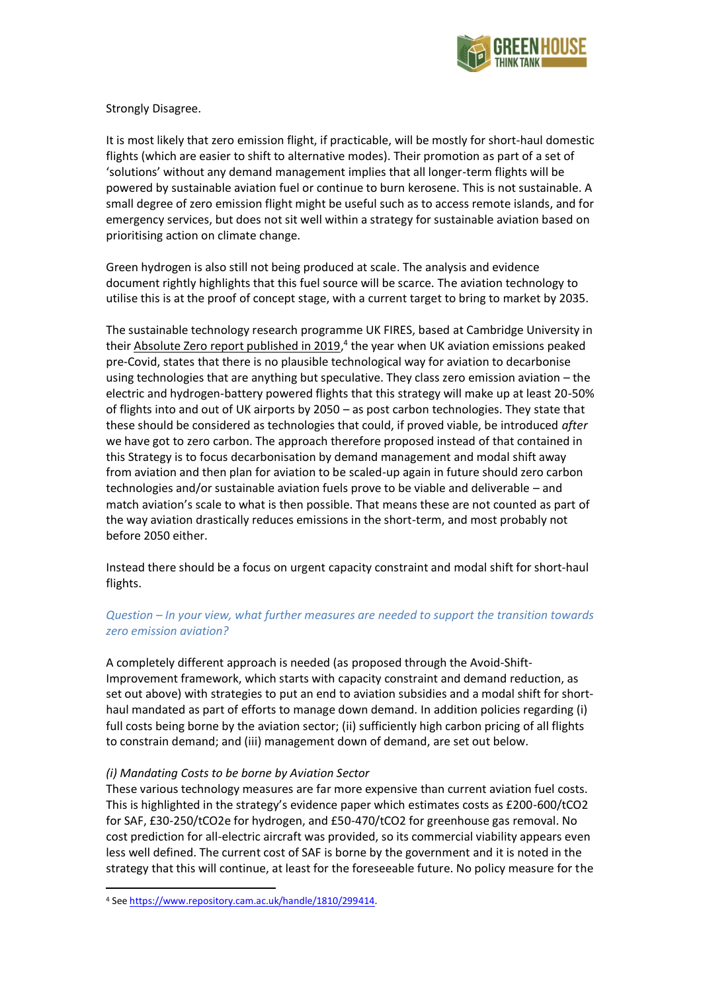

Strongly Disagree.

It is most likely that zero emission flight, if practicable, will be mostly for short-haul domestic flights (which are easier to shift to alternative modes). Their promotion as part of a set of 'solutions' without any demand management implies that all longer-term flights will be powered by sustainable aviation fuel or continue to burn kerosene. This is not sustainable. A small degree of zero emission flight might be useful such as to access remote islands, and for emergency services, but does not sit well within a strategy for sustainable aviation based on prioritising action on climate change.

Green hydrogen is also still not being produced at scale. The analysis and evidence document rightly highlights that this fuel source will be scarce. The aviation technology to utilise this is at the proof of concept stage, with a current target to bring to market by 2035.

The sustainable technology research programme UK FIRES, based at Cambridge University in their [Absolute Zero report published in 2019,](https://www.repository.cam.ac.uk/handle/1810/299414)<sup>4</sup> the year when UK aviation emissions peaked pre-Covid, states that there is no plausible technological way for aviation to decarbonise using technologies that are anything but speculative. They class zero emission aviation – the electric and hydrogen-battery powered flights that this strategy will make up at least 20-50% of flights into and out of UK airports by 2050 – as post carbon technologies. They state that these should be considered as technologies that could, if proved viable, be introduced *after* we have got to zero carbon. The approach therefore proposed instead of that contained in this Strategy is to focus decarbonisation by demand management and modal shift away from aviation and then plan for aviation to be scaled-up again in future should zero carbon technologies and/or sustainable aviation fuels prove to be viable and deliverable – and match aviation's scale to what is then possible. That means these are not counted as part of the way aviation drastically reduces emissions in the short-term, and most probably not before 2050 either.

Instead there should be a focus on urgent capacity constraint and modal shift for short-haul flights.

# *Question – In your view, what further measures are needed to support the transition towards zero emission aviation?*

A completely different approach is needed (as proposed through the Avoid-Shift-Improvement framework, which starts with capacity constraint and demand reduction, as set out above) with strategies to put an end to aviation subsidies and a modal shift for shorthaul mandated as part of efforts to manage down demand. In addition policies regarding (i) full costs being borne by the aviation sector; (ii) sufficiently high carbon pricing of all flights to constrain demand; and (iii) management down of demand, are set out below.

### *(i) Mandating Costs to be borne by Aviation Sector*

These various technology measures are far more expensive than current aviation fuel costs. This is highlighted in the strategy's evidence paper which estimates costs as £200-600/tCO2 for SAF, £30-250/tCO2e for hydrogen, and £50-470/tCO2 for greenhouse gas removal. No cost prediction for all-electric aircraft was provided, so its commercial viability appears even less well defined. The current cost of SAF is borne by the government and it is noted in the strategy that this will continue, at least for the foreseeable future. No policy measure for the

<sup>4</sup> Se[e https://www.repository.cam.ac.uk/handle/1810/299414.](https://www.repository.cam.ac.uk/handle/1810/299414)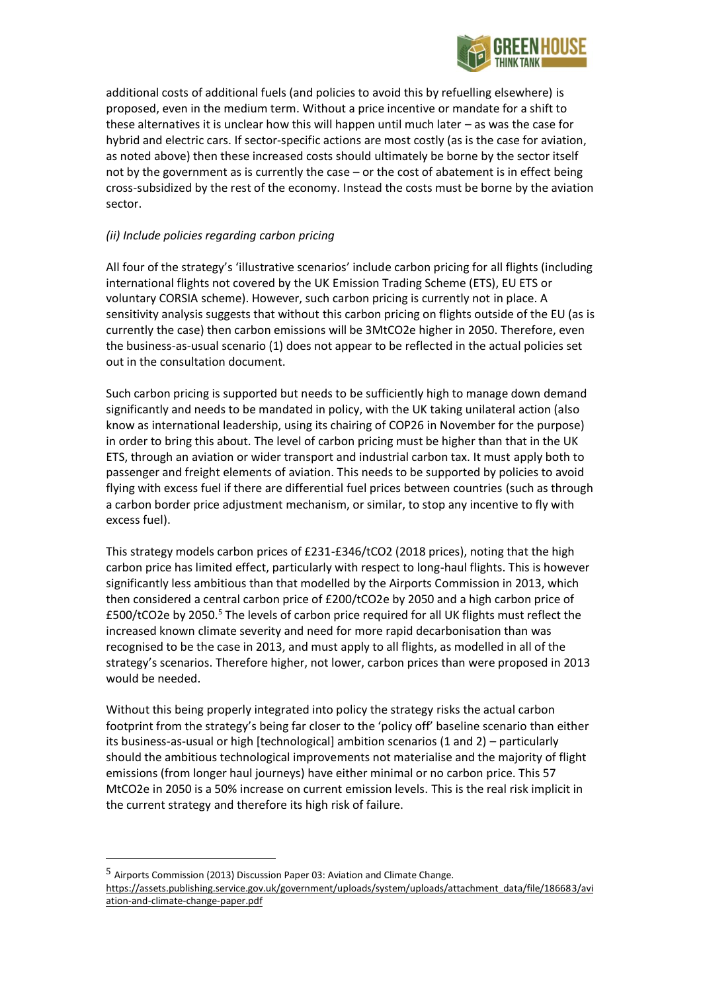

additional costs of additional fuels (and policies to avoid this by refuelling elsewhere) is proposed, even in the medium term. Without a price incentive or mandate for a shift to these alternatives it is unclear how this will happen until much later – as was the case for hybrid and electric cars. If sector-specific actions are most costly (as is the case for aviation, as noted above) then these increased costs should ultimately be borne by the sector itself not by the government as is currently the case – or the cost of abatement is in effect being cross-subsidized by the rest of the economy. Instead the costs must be borne by the aviation sector.

# *(ii) Include policies regarding carbon pricing*

All four of the strategy's 'illustrative scenarios' include carbon pricing for all flights (including international flights not covered by the UK Emission Trading Scheme (ETS), EU ETS or voluntary CORSIA scheme). However, such carbon pricing is currently not in place. A sensitivity analysis suggests that without this carbon pricing on flights outside of the EU (as is currently the case) then carbon emissions will be 3MtCO2e higher in 2050. Therefore, even the business-as-usual scenario (1) does not appear to be reflected in the actual policies set out in the consultation document.

Such carbon pricing is supported but needs to be sufficiently high to manage down demand significantly and needs to be mandated in policy, with the UK taking unilateral action (also know as international leadership, using its chairing of COP26 in November for the purpose) in order to bring this about. The level of carbon pricing must be higher than that in the UK ETS, through an aviation or wider transport and industrial carbon tax. It must apply both to passenger and freight elements of aviation. This needs to be supported by policies to avoid flying with excess fuel if there are differential fuel prices between countries (such as through a carbon border price adjustment mechanism, or similar, to stop any incentive to fly with excess fuel).

This strategy models carbon prices of £231-£346/tCO2 (2018 prices), noting that the high carbon price has limited effect, particularly with respect to long-haul flights. This is however significantly less ambitious than that modelled by the Airports Commission in 2013, which then considered a central carbon price of £200/tCO2e by 2050 and a high carbon price of £500/tCO2e by 2050.<sup>5</sup> The levels of carbon price required for all UK flights must reflect the increased known climate severity and need for more rapid decarbonisation than was recognised to be the case in 2013, and must apply to all flights, as modelled in all of the strategy's scenarios. Therefore higher, not lower, carbon prices than were proposed in 2013 would be needed.

Without this being properly integrated into policy the strategy risks the actual carbon footprint from the strategy's being far closer to the 'policy off' baseline scenario than either its business-as-usual or high [technological] ambition scenarios (1 and 2) – particularly should the ambitious technological improvements not materialise and the majority of flight emissions (from longer haul journeys) have either minimal or no carbon price. This 57 MtCO2e in 2050 is a 50% increase on current emission levels. This is the real risk implicit in the current strategy and therefore its high risk of failure.

<sup>5</sup> Airports Commission (2013) Discussion Paper 03: Aviation and Climate Change. [https://assets.publishing.service.gov.uk/government/uploads/system/uploads/attachment\\_data/file/186683/avi](https://assets.publishing.service.gov.uk/government/uploads/system/uploads/attachment_data/file/186683/aviation-and-climate-change-paper.pdf) [ation-and-climate-change-paper.pdf](https://assets.publishing.service.gov.uk/government/uploads/system/uploads/attachment_data/file/186683/aviation-and-climate-change-paper.pdf)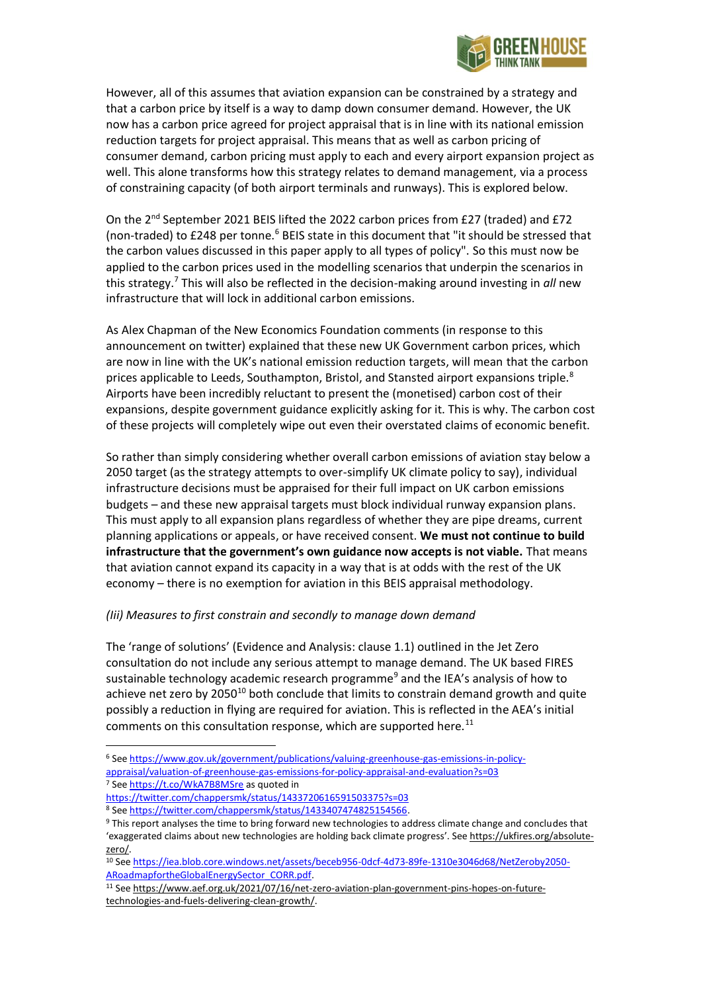

However, all of this assumes that aviation expansion can be constrained by a strategy and that a carbon price by itself is a way to damp down consumer demand. However, the UK now has a carbon price agreed for project appraisal that is in line with its national emission reduction targets for project appraisal. This means that as well as carbon pricing of consumer demand, carbon pricing must apply to each and every airport expansion project as well. This alone transforms how this strategy relates to demand management, via a process of constraining capacity (of both airport terminals and runways). This is explored below.

On the 2nd September 2021 BEIS lifted the 2022 carbon prices from £27 (traded) and £72 (non-traded) to  $£248$  per tonne.<sup>6</sup> BEIS state in this document that "it should be stressed that the carbon values discussed in this paper apply to all types of policy". So this must now be applied to the carbon prices used in the modelling scenarios that underpin the scenarios in this strategy.<sup>7</sup> This will also be reflected in the decision-making around investing in *all* new infrastructure that will lock in additional carbon emissions.

As Alex Chapman of the New Economics Foundation comments (in response to this announcement on twitter) explained that these new UK Government carbon prices, which are now in line with the UK's national emission reduction targets, will mean that the carbon prices applicable to Leeds, Southampton, Bristol, and Stansted airport expansions triple.<sup>8</sup> Airports have been incredibly reluctant to present the (monetised) carbon cost of their expansions, despite government guidance explicitly asking for it. This is why. The carbon cost of these projects will completely wipe out even their overstated claims of economic benefit.

So rather than simply considering whether overall carbon emissions of aviation stay below a 2050 target (as the strategy attempts to over-simplify UK climate policy to say), individual infrastructure decisions must be appraised for their full impact on UK carbon emissions budgets – and these new appraisal targets must block individual runway expansion plans. This must apply to all expansion plans regardless of whether they are pipe dreams, current planning applications or appeals, or have received consent. **We must not continue to build infrastructure that the government's own guidance now accepts is not viable.** That means that aviation cannot expand its capacity in a way that is at odds with the rest of the UK economy – there is no exemption for aviation in this BEIS appraisal methodology.

# *(Iii) Measures to first constrain and secondly to manage down demand*

The 'range of solutions' (Evidence and Analysis: clause 1.1) outlined in the Jet Zero consultation do not include any serious attempt to manage demand. The UK based FIRES sustainable technology academic research programme<sup>9</sup> and the [IEA](https://www.iea.org/reports/net-zero-by-2050)'s analysis of how to achieve net zero by 2050<sup>10</sup> both conclude that limits to constrain demand growth and quite possibly a reduction in flying are required for aviation. This is reflected in the AEA's initial comments on this consultation response, which are supported here. $^{11}$ 

<sup>6</sup> Se[e https://www.gov.uk/government/publications/valuing-greenhouse-gas-emissions-in-policy](https://www.gov.uk/government/publications/valuing-greenhouse-gas-emissions-in-policy-appraisal/valuation-of-greenhouse-gas-emissions-for-policy-appraisal-and-evaluation?s=03)[appraisal/valuation-of-greenhouse-gas-emissions-for-policy-appraisal-and-evaluation?s=03](https://www.gov.uk/government/publications/valuing-greenhouse-gas-emissions-in-policy-appraisal/valuation-of-greenhouse-gas-emissions-for-policy-appraisal-and-evaluation?s=03) <sup>7</sup> Se[e https://t.co/WkA7B8MSre](https://t.co/WkA7B8MSre) as quoted in

<https://twitter.com/chappersmk/status/1433720616591503375?s=03>

<sup>8</sup> Se[e https://twitter.com/chappersmk/status/1433407474825154566.](https://twitter.com/chappersmk/status/1433407474825154566)

<sup>9</sup> This report analyses the time to bring forward new technologies to address climate change and concludes that 'exaggerated claims about new technologies are holding back climate progress'. See [https://ukfires.org/absolute](https://ukfires.org/absolute-zero/)[zero/.](https://ukfires.org/absolute-zero/)

<sup>10</sup> Se[e https://iea.blob.core.windows.net/assets/beceb956-0dcf-4d73-89fe-1310e3046d68/NetZeroby2050-](https://iea.blob.core.windows.net/assets/beceb956-0dcf-4d73-89fe-1310e3046d68/NetZeroby2050-ARoadmapfortheGlobalEnergySector_CORR.pdf) [ARoadmapfortheGlobalEnergySector\\_CORR.pdf.](https://iea.blob.core.windows.net/assets/beceb956-0dcf-4d73-89fe-1310e3046d68/NetZeroby2050-ARoadmapfortheGlobalEnergySector_CORR.pdf) 

<sup>11</sup> Se[e https://www.aef.org.uk/2021/07/16/net-zero-aviation-plan-government-pins-hopes-on-future](https://www.aef.org.uk/2021/07/16/net-zero-aviation-plan-government-pins-hopes-on-future-technologies-and-fuels-delivering-clean-growth/)[technologies-and-fuels-delivering-clean-growth/.](https://www.aef.org.uk/2021/07/16/net-zero-aviation-plan-government-pins-hopes-on-future-technologies-and-fuels-delivering-clean-growth/)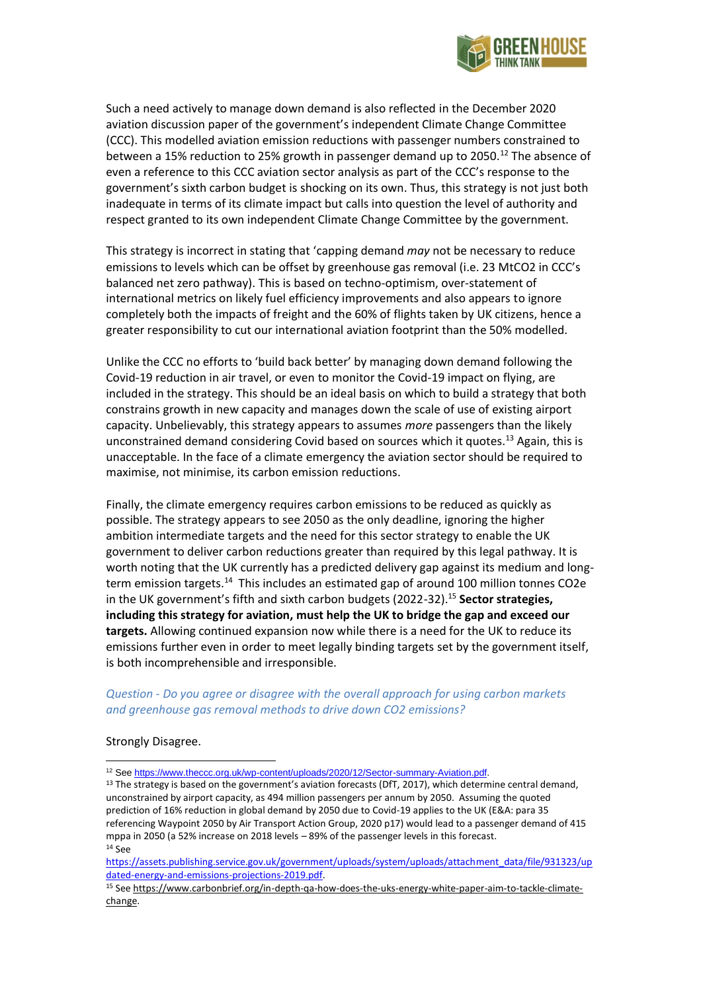

Such a need actively to manage down demand is also reflected in the December 2020 aviation discussion paper of the government's independent Climate Change Committee (CCC). This modelled aviation emission reductions with passenger numbers constrained to between a 15% reduction to 25% growth in passenger demand up to 2050.<sup>12</sup> The absence of even a reference to this CCC aviation sector analysis as part of the CCC's response to the government's sixth carbon budget is shocking on its own. Thus, this strategy is not just both inadequate in terms of its climate impact but calls into question the level of authority and respect granted to its own independent Climate Change Committee by the government.

This strategy is incorrect in stating that 'capping demand *may* not be necessary to reduce emissions to levels which can be offset by greenhouse gas removal (i.e. 23 MtCO2 in CCC's balanced net zero pathway). This is based on techno-optimism, over-statement of international metrics on likely fuel efficiency improvements and also appears to ignore completely both the impacts of freight and the 60% of flights taken by UK citizens, hence a greater responsibility to cut our international aviation footprint than the 50% modelled.

Unlike the CCC no efforts to 'build back better' by managing down demand following the Covid-19 reduction in air travel, or even to monitor the Covid-19 impact on flying, are included in the strategy. This should be an ideal basis on which to build a strategy that both constrains growth in new capacity and manages down the scale of use of existing airport capacity. Unbelievably, this strategy appears to assumes *more* passengers than the likely unconstrained demand considering Covid based on sources which it quotes.<sup>13</sup> Again, this is unacceptable. In the face of a climate emergency the aviation sector should be required to maximise, not minimise, its carbon emission reductions.

Finally, the climate emergency requires carbon emissions to be reduced as quickly as possible. The strategy appears to see 2050 as the only deadline, ignoring the higher ambition intermediate targets and the need for this sector strategy to enable the UK government to deliver carbon reductions greater than required by this legal pathway. It is worth noting that the UK currently has a predicted delivery gap against its medium and longterm emission targets.<sup>14</sup> This includes an estimated gap of around 100 million tonnes CO2e in the UK government's fifth and sixth carbon budgets (2022-32).<sup>15</sup> **Sector strategies, including this strategy for aviation, must help the UK to bridge the gap and exceed our targets.** Allowing continued expansion now while there is a need for the UK to reduce its emissions further even in order to meet legally binding targets set by the government itself, is both incomprehensible and irresponsible.

### *Question - Do you agree or disagree with the overall approach for using carbon markets and greenhouse gas removal methods to drive down CO2 emissions?*

#### Strongly Disagree.

<sup>&</sup>lt;sup>12</sup> See https://www.theccc.org.uk/wp-content/uploads/2020/12/Sector-summary-Aviation.pdf.

<sup>&</sup>lt;sup>13</sup> The strategy is based on the government's aviation forecasts (DfT, 2017), which determine central demand, unconstrained by airport capacity, as 494 million passengers per annum by 2050. Assuming the quoted prediction of 16% reduction in global demand by 2050 due to Covid-19 applies to the UK (E&A: para 35 referencing Waypoint 2050 by Air Transport Action Group, 2020 p17) would lead to a passenger demand of 415 mppa in 2050 (a 52% increase on 2018 levels – 89% of the passenger levels in this forecast. <sup>14</sup> See

[https://assets.publishing.service.gov.uk/government/uploads/system/uploads/attachment\\_data/file/931323/up](https://assets.publishing.service.gov.uk/government/uploads/system/uploads/attachment_data/file/931323/updated-energy-and-emissions-projections-2019.pdf) [dated-energy-and-emissions-projections-2019.pdf.](https://assets.publishing.service.gov.uk/government/uploads/system/uploads/attachment_data/file/931323/updated-energy-and-emissions-projections-2019.pdf)

<sup>15</sup> Se[e https://www.carbonbrief.org/in-depth-qa-how-does-the-uks-energy-white-paper-aim-to-tackle-climate](https://www.carbonbrief.org/in-depth-qa-how-does-the-uks-energy-white-paper-aim-to-tackle-climate-change)[change.](https://www.carbonbrief.org/in-depth-qa-how-does-the-uks-energy-white-paper-aim-to-tackle-climate-change)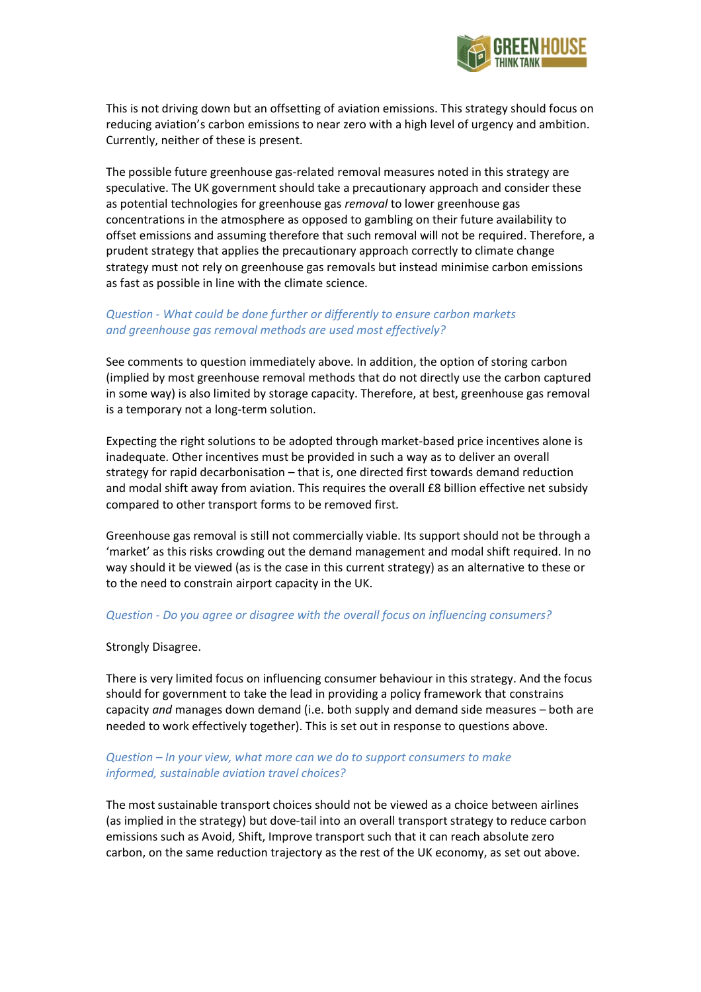

This is not driving down but an offsetting of aviation emissions. This strategy should focus on reducing aviation's carbon emissions to near zero with a high level of urgency and ambition. Currently, neither of these is present.

The possible future greenhouse gas-related removal measures noted in this strategy are speculative. The UK government should take a precautionary approach and consider these as potential technologies for greenhouse gas *removal* to lower greenhouse gas concentrations in the atmosphere as opposed to gambling on their future availability to offset emissions and assuming therefore that such removal will not be required. Therefore, a prudent strategy that applies the precautionary approach correctly to climate change strategy must not rely on greenhouse gas removals but instead minimise carbon emissions as fast as possible in line with the climate science.

# *Question - What could be done further or differently to ensure carbon markets and greenhouse gas removal methods are used most effectively?*

See comments to question immediately above. In addition, the option of storing carbon (implied by most greenhouse removal methods that do not directly use the carbon captured in some way) is also limited by storage capacity. Therefore, at best, greenhouse gas removal is a temporary not a long-term solution.

Expecting the right solutions to be adopted through market-based price incentives alone is inadequate. Other incentives must be provided in such a way as to deliver an overall strategy for rapid decarbonisation – that is, one directed first towards demand reduction and modal shift away from aviation. This requires the overall £8 billion effective net subsidy compared to other transport forms to be removed first.

Greenhouse gas removal is still not commercially viable. Its support should not be through a 'market' as this risks crowding out the demand management and modal shift required. In no way should it be viewed (as is the case in this current strategy) as an alternative to these or to the need to constrain airport capacity in the UK.

### *Question - Do you agree or disagree with the overall focus on influencing consumers?*

### Strongly Disagree.

There is very limited focus on influencing consumer behaviour in this strategy. And the focus should for government to take the lead in providing a policy framework that constrains capacity *and* manages down demand (i.e. both supply and demand side measures – both are needed to work effectively together). This is set out in response to questions above.

# *Question – In your view, what more can we do to support consumers to make informed, sustainable aviation travel choices?*

The most sustainable transport choices should not be viewed as a choice between airlines (as implied in the strategy) but dove-tail into an overall transport strategy to reduce carbon emissions such as Avoid, Shift, Improve transport such that it can reach absolute zero carbon, on the same reduction trajectory as the rest of the UK economy, as set out above.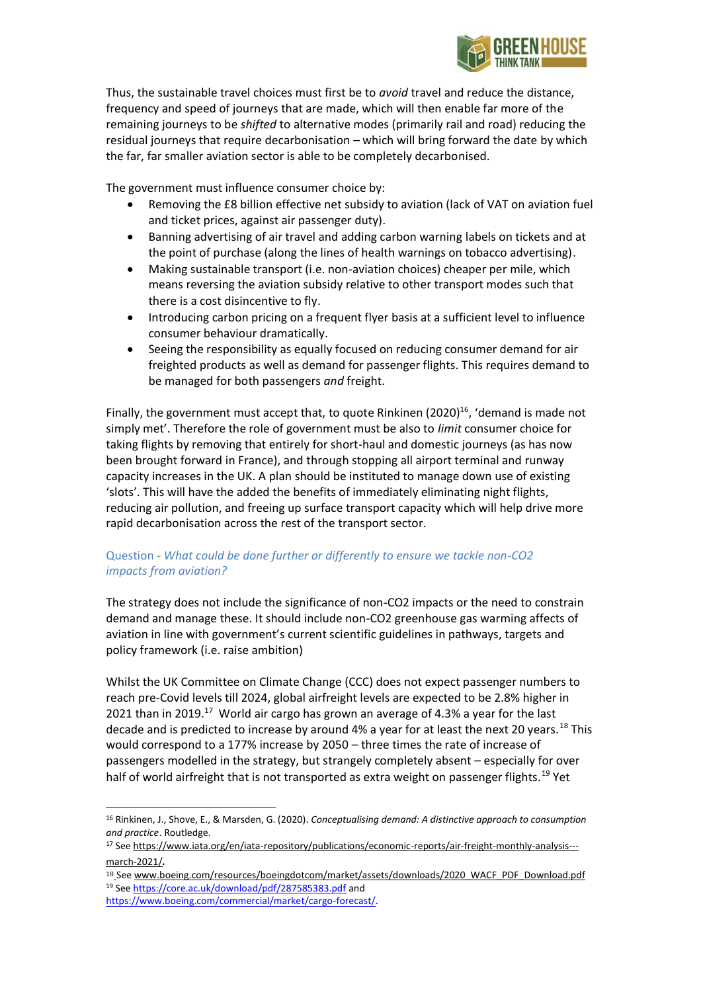

Thus, the sustainable travel choices must first be to *avoid* travel and reduce the distance, frequency and speed of journeys that are made, which will then enable far more of the remaining journeys to be *shifted* to alternative modes (primarily rail and road) reducing the residual journeys that require decarbonisation – which will bring forward the date by which the far, far smaller aviation sector is able to be completely decarbonised.

The government must influence consumer choice by:

- Removing the £8 billion effective net subsidy to aviation (lack of VAT on aviation fuel and ticket prices, against air passenger duty).
- Banning advertising of air travel and adding carbon warning labels on tickets and at the point of purchase (along the lines of health warnings on tobacco advertising).
- Making sustainable transport (i.e. non-aviation choices) cheaper per mile, which means reversing the aviation subsidy relative to other transport modes such that there is a cost disincentive to fly.
- Introducing carbon pricing on a frequent flyer basis at a sufficient level to influence consumer behaviour dramatically.
- Seeing the responsibility as equally focused on reducing consumer demand for air freighted products as well as demand for passenger flights. This requires demand to be managed for both passengers *and* freight.

Finally, the government must accept that, to quote Rinkinen (2020)<sup>16</sup>, 'demand is made not simply met'. Therefore the role of government must be also to *limit* consumer choice for taking flights by removing that entirely for short-haul and domestic journeys (as has now been brought forward in France), and through stopping all airport terminal and runway capacity increases in the UK. A plan should be instituted to manage down use of existing 'slots'. This will have the added the benefits of immediately eliminating night flights, reducing air pollution, and freeing up surface transport capacity which will help drive more rapid decarbonisation across the rest of the transport sector.

# Question - *What could be done further or differently to ensure we tackle non-CO2 impacts from aviation?*

The strategy does not include the significance of non-CO2 impacts or the need to constrain demand and manage these. It should include non-CO2 greenhouse gas warming affects of aviation in line with government's current scientific guidelines in pathways, targets and policy framework (i.e. raise ambition)

Whilst the UK Committee on Climate Change (CCC) does not expect passenger numbers to reach pre-Covid levels till 2024, global airfreight levels are expected to be 2.8% higher in 2021 than in 2019.<sup>17</sup> World air cargo has grown an average of 4.3% a year for the last decade and is predicted to increase by around 4% a year for at least the next 20 years.<sup>18</sup> This would correspond to a 177% increase by 2050 – three times the rate of increase of passengers modelled in the strategy, but strangely completely absent – especially for over half of world airfreight that is not transported as extra weight on passenger flights.<sup>19</sup> Yet

18 [See www.boeing.com/resources/boeingdotcom/market/assets/downloads/2020\\_WACF\\_PDF\\_Download.pdf](https://www.boeing.com/resources/boeingdotcom/market/assets/downloads/2020_WACF_PDF_Download.pdf) <sup>19</sup> Se[e https://core.ac.uk/download/pdf/287585383.pdf](https://core.ac.uk/download/pdf/287585383.pdf) and

<sup>16</sup> Rinkinen, J., Shove, E., & Marsden, G. (2020). *Conceptualising demand: A distinctive approach to consumption and practice*. Routledge.

<sup>17</sup> Se[e https://www.iata.org/en/iata-repository/publications/economic-reports/air-freight-monthly-analysis--](https://www.iata.org/en/iata-repository/publications/economic-reports/air-freight-monthly-analysis---march-2021/) [march-2021/](https://www.iata.org/en/iata-repository/publications/economic-reports/air-freight-monthly-analysis---march-2021/).

[https://www.boeing.com/commercial/market/cargo-forecast/.](https://www.boeing.com/commercial/market/cargo-forecast/)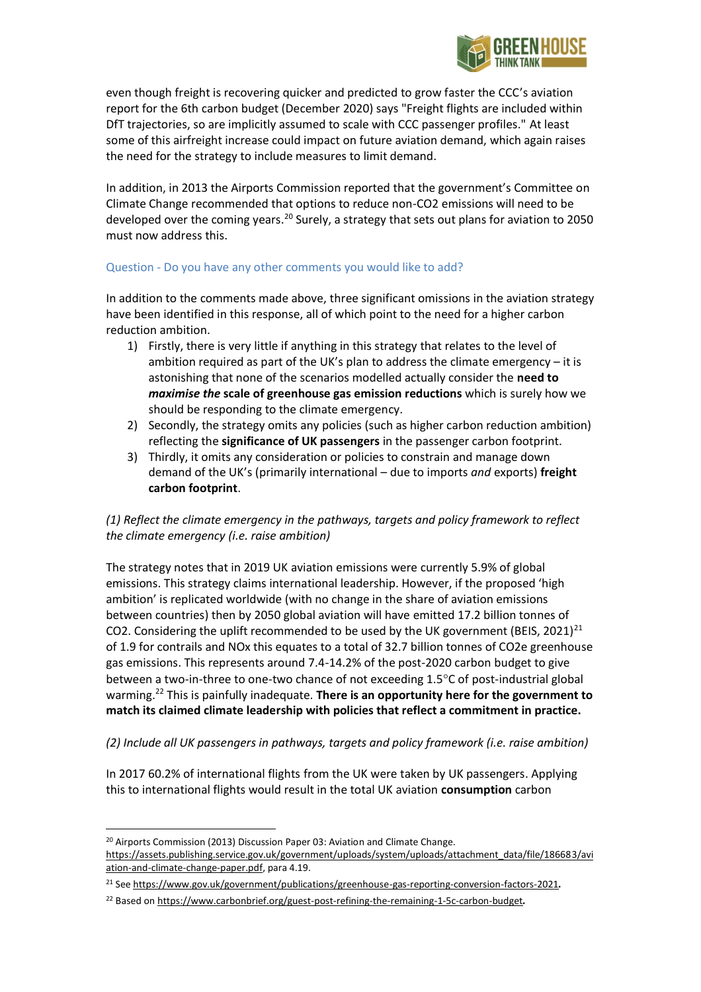

even though freight is recovering quicker and predicted to grow faster the CCC's aviation report for the 6th carbon budget (December 2020) says "Freight flights are included within DfT trajectories, so are implicitly assumed to scale with CCC passenger profiles." At least some of this airfreight increase could impact on future aviation demand, which again raises the need for the strategy to include measures to limit demand.

In addition, in 2013 the Airports Commission reported that the government's Committee on Climate Change recommended that options to reduce non-CO2 emissions will need to be developed over the coming years.<sup>20</sup> Surely, a strategy that sets out plans for aviation to 2050 must now address this.

# Question - Do you have any other comments you would like to add?

In addition to the comments made above, three significant omissions in the aviation strategy have been identified in this response, all of which point to the need for a higher carbon reduction ambition.

- 1) Firstly, there is very little if anything in this strategy that relates to the level of ambition required as part of the UK's plan to address the climate emergency  $-$  it is astonishing that none of the scenarios modelled actually consider the **need to**  *maximise the* **scale of greenhouse gas emission reductions** which is surely how we should be responding to the climate emergency.
- 2) Secondly, the strategy omits any policies (such as higher carbon reduction ambition) reflecting the **significance of UK passengers** in the passenger carbon footprint.
- 3) Thirdly, it omits any consideration or policies to constrain and manage down demand of the UK's (primarily international – due to imports *and* exports) **freight carbon footprint**.

# *(1) Reflect the climate emergency in the pathways, targets and policy framework to reflect the climate emergency (i.e. raise ambition)*

The strategy notes that in 2019 UK aviation emissions were currently 5.9% of global emissions. This strategy claims international leadership. However, if the proposed 'high ambition' is replicated worldwide (with no change in the share of aviation emissions between countries) then by 2050 global aviation will have emitted 17.2 billion tonnes of CO2. Considering the uplift recommended to be used by the UK government (BEIS, 2021)<sup>21</sup> of 1.9 for contrails and NOx this equates to a total of 32.7 billion tonnes of CO2e greenhouse gas emissions. This represents around 7.4-14.2% of the post-2020 carbon budget to give between a two-in-three to one-two chance of not exceeding 1.5°C of post-industrial global warming.<sup>22</sup> This is painfully inadequate. **There is an opportunity here for the government to match its claimed climate leadership with policies that reflect a commitment in practice.** 

*(2) Include all UK passengers in pathways, targets and policy framework (i.e. raise ambition)*

In 2017 60.2% of international flights from the UK were taken by UK passengers. Applying this to international flights would result in the total UK aviation **consumption** carbon

<sup>&</sup>lt;sup>20</sup> Airports Commission (2013) Discussion Paper 03: Aviation and Climate Change. [https://assets.publishing.service.gov.uk/government/uploads/system/uploads/attachment\\_data/file/186683/avi](https://assets.publishing.service.gov.uk/government/uploads/system/uploads/attachment_data/file/186683/aviation-and-climate-change-paper.pdf) [ation-and-climate-change-paper.pdf,](https://assets.publishing.service.gov.uk/government/uploads/system/uploads/attachment_data/file/186683/aviation-and-climate-change-paper.pdf) para 4.19.

<sup>&</sup>lt;sup>21</sup> Se[e https://www.gov.uk/government/publications/greenhouse-gas-reporting-conversion-factors-2021](https://www.gov.uk/government/publications/greenhouse-gas-reporting-conversion-factors-2021).

<sup>&</sup>lt;sup>22</sup> Based o[n https://www.carbonbrief.org/guest-post-refining-the-remaining-1-5c-carbon-budget](https://www.carbonbrief.org/guest-post-refining-the-remaining-1-5c-carbon-budget).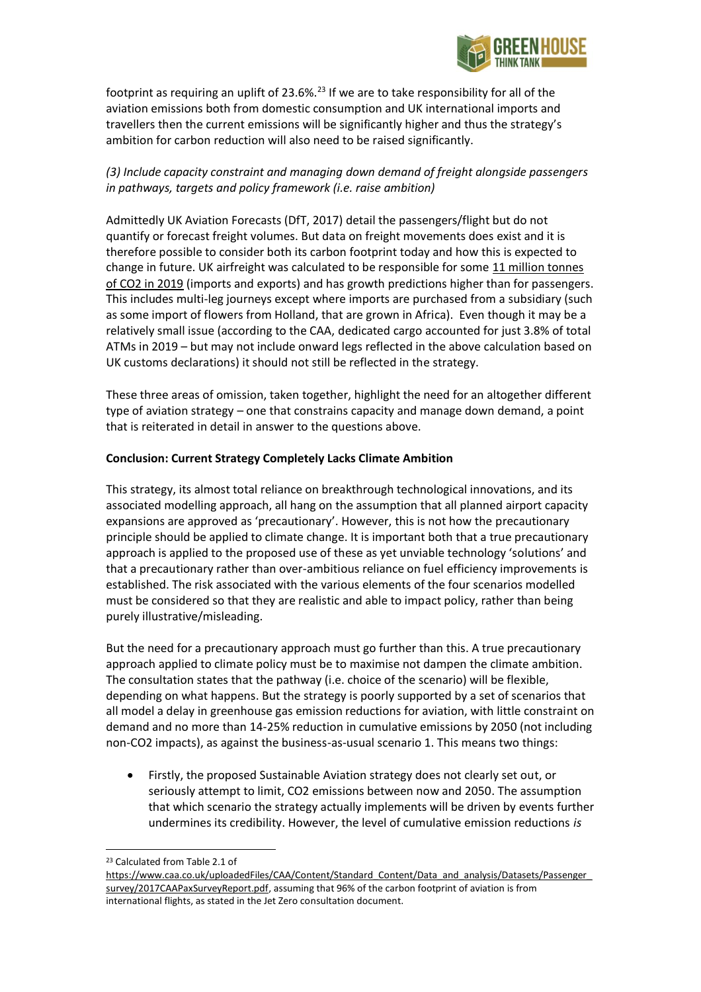

footprint as requiring an uplift of 23.6%.<sup>23</sup> If we are to take responsibility for all of the aviation emissions both from domestic consumption and UK international imports and travellers then the current emissions will be significantly higher and thus the strategy's ambition for carbon reduction will also need to be raised significantly.

# *(3) Include capacity constraint and managing down demand of freight alongside passengers in pathways, targets and policy framework (i.e. raise ambition)*

Admittedly UK Aviation Forecasts (DfT, 2017) detail the passengers/flight but do not quantify or forecast freight volumes. But data on freight movements does exist and it is therefore possible to consider both its carbon footprint today and how this is expected to change in future. UK airfreight was calculated to be responsible for some 11 million tonnes [of CO2 in 2019](https://www.greenhousethinktank.org/climate-emergency-economy.html) (imports and exports) and has growth predictions higher than for passengers. This includes multi-leg journeys except where imports are purchased from a subsidiary (such as some import of flowers from Holland, that are grown in Africa). Even though it may be a relatively small issue (according to the CAA, dedicated cargo accounted for just 3.8% of total ATMs in 2019 – but may not include onward legs reflected in the above calculation based on UK customs declarations) it should not still be reflected in the strategy.

These three areas of omission, taken together, highlight the need for an altogether different type of aviation strategy – one that constrains capacity and manage down demand, a point that is reiterated in detail in answer to the questions above.

# **Conclusion: Current Strategy Completely Lacks Climate Ambition**

This strategy, its almost total reliance on breakthrough technological innovations, and its associated modelling approach, all hang on the assumption that all planned airport capacity expansions are approved as 'precautionary'. However, this is not how the precautionary principle should be applied to climate change. It is important both that a true precautionary approach is applied to the proposed use of these as yet unviable technology 'solutions' and that a precautionary rather than over-ambitious reliance on fuel efficiency improvements is established. The risk associated with the various elements of the four scenarios modelled must be considered so that they are realistic and able to impact policy, rather than being purely illustrative/misleading.

But the need for a precautionary approach must go further than this. A true precautionary approach applied to climate policy must be to maximise not dampen the climate ambition. The consultation states that the pathway (i.e. choice of the scenario) will be flexible, depending on what happens. But the strategy is poorly supported by a set of scenarios that all model a delay in greenhouse gas emission reductions for aviation, with little constraint on demand and no more than 14-25% reduction in cumulative emissions by 2050 (not including non-CO2 impacts), as against the business-as-usual scenario 1. This means two things:

• Firstly, the proposed Sustainable Aviation strategy does not clearly set out, or seriously attempt to limit, CO2 emissions between now and 2050. The assumption that which scenario the strategy actually implements will be driven by events further undermines its credibility. However, the level of cumulative emission reductions *is*

<sup>23</sup> Calculated from Table 2.1 of

[https://www.caa.co.uk/uploadedFiles/CAA/Content/Standard\\_Content/Data\\_and\\_analysis/Datasets/Passenger\\_](https://www.caa.co.uk/uploadedFiles/CAA/Content/Standard_Content/Data_and_analysis/Datasets/Passenger_survey/2017CAAPaxSurveyReport.pdf) [survey/2017CAAPaxSurveyReport.pdf,](https://www.caa.co.uk/uploadedFiles/CAA/Content/Standard_Content/Data_and_analysis/Datasets/Passenger_survey/2017CAAPaxSurveyReport.pdf) assuming that 96% of the carbon footprint of aviation is from international flights, as stated in the Jet Zero consultation document.